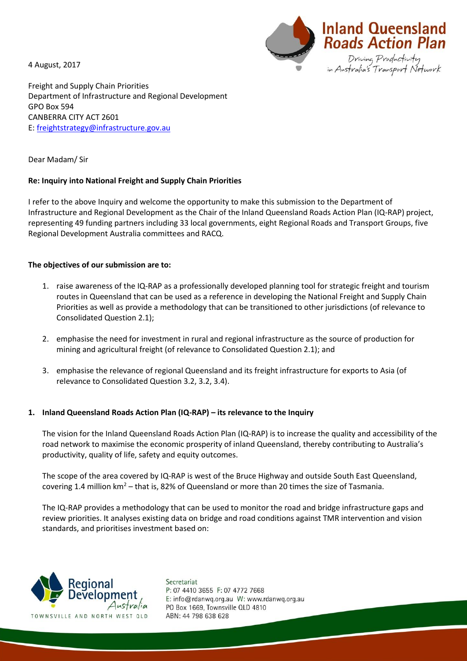4 August, 2017



Freight and Supply Chain Priorities Department of Infrastructure and Regional Development GPO Box 594 CANBERRA CITY ACT 2601 E: [freightstrategy@infrastructure.gov.au](mailto:freightstrategy@infrastructure.gov.au)

Dear Madam/ Sir

## **Re: Inquiry into National Freight and Supply Chain Priorities**

I refer to the above Inquiry and welcome the opportunity to make this submission to the Department of Infrastructure and Regional Development as the Chair of the Inland Queensland Roads Action Plan (IQ-RAP) project, representing 49 funding partners including 33 local governments, eight Regional Roads and Transport Groups, five Regional Development Australia committees and RACQ.

### **The objectives of our submission are to:**

- 1. raise awareness of the IQ-RAP as a professionally developed planning tool for strategic freight and tourism routes in Queensland that can be used as a reference in developing the National Freight and Supply Chain Priorities as well as provide a methodology that can be transitioned to other jurisdictions (of relevance to Consolidated Question 2.1);
- 2. emphasise the need for investment in rural and regional infrastructure as the source of production for mining and agricultural freight (of relevance to Consolidated Question 2.1); and
- 3. emphasise the relevance of regional Queensland and its freight infrastructure for exports to Asia (of relevance to Consolidated Question 3.2, 3.2, 3.4).

# **1. Inland Queensland Roads Action Plan (IQ-RAP) – its relevance to the Inquiry**

The vision for the Inland Queensland Roads Action Plan (IQ-RAP) is to increase the quality and accessibility of the road network to maximise the economic prosperity of inland Queensland, thereby contributing to Australia's productivity, quality of life, safety and equity outcomes.

The scope of the area covered by IQ-RAP is west of the Bruce Highway and outside South East Queensland, covering 1.4 million  $km^2$  – that is, 82% of Queensland or more than 20 times the size of Tasmania.

The IQ-RAP provides a methodology that can be used to monitor the road and bridge infrastructure gaps and review priorities. It analyses existing data on bridge and road conditions against TMR intervention and vision standards, and prioritises investment based on:



Secretariat P: 07 4410 3655 F: 07 4772 7668 E: info@rdanwq.org.au W: www.rdanwq.org.au PO Box 1669, Townsville QLD 4810 ABN: 44 798 638 628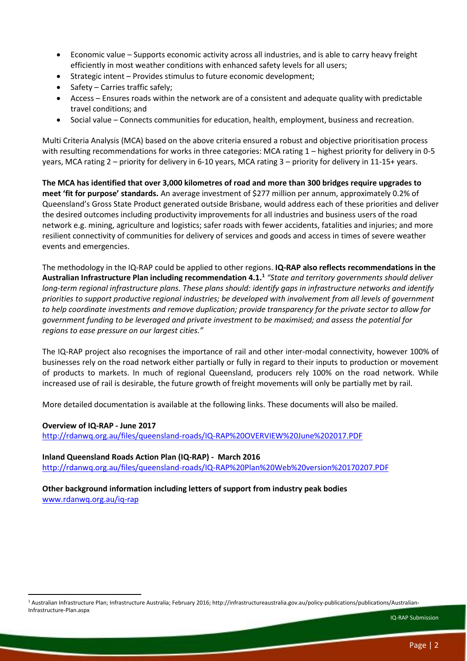- Economic value Supports economic activity across all industries, and is able to carry heavy freight efficiently in most weather conditions with enhanced safety levels for all users;
- Strategic intent Provides stimulus to future economic development;
- Safety Carries traffic safely;
- Access Ensures roads within the network are of a consistent and adequate quality with predictable travel conditions; and
- Social value Connects communities for education, health, employment, business and recreation.

Multi Criteria Analysis (MCA) based on the above criteria ensured a robust and objective prioritisation process with resulting recommendations for works in three categories: MCA rating 1 – highest priority for delivery in 0-5 years, MCA rating 2 – priority for delivery in 6-10 years, MCA rating 3 – priority for delivery in 11-15+ years.

**The MCA has identified that over 3,000 kilometres of road and more than 300 bridges require upgrades to meet 'fit for purpose' standards.** An average investment of \$277 million per annum, approximately 0.2% of Queensland's Gross State Product generated outside Brisbane, would address each of these priorities and deliver the desired outcomes including productivity improvements for all industries and business users of the road network e.g. mining, agriculture and logistics; safer roads with fewer accidents, fatalities and injuries; and more resilient connectivity of communities for delivery of services and goods and access in times of severe weather events and emergencies.

The methodology in the IQ-RAP could be applied to other regions. **IQ-RAP also reflects recommendations in the Australian Infrastructure Plan including recommendation 4.1.<sup>1</sup>** *"State and territory governments should deliver long-term regional infrastructure plans. These plans should: identify gaps in infrastructure networks and identify priorities to support productive regional industries; be developed with involvement from all levels of government to help coordinate investments and remove duplication; provide transparency for the private sector to allow for government funding to be leveraged and private investment to be maximised; and assess the potential for regions to ease pressure on our largest cities."*

The IQ-RAP project also recognises the importance of rail and other inter-modal connectivity, however 100% of businesses rely on the road network either partially or fully in regard to their inputs to production or movement of products to markets. In much of regional Queensland, producers rely 100% on the road network. While increased use of rail is desirable, the future growth of freight movements will only be partially met by rail.

More detailed documentation is available at the following links. These documents will also be mailed.

### **Overview of IQ-RAP - June 2017**

**.** 

<http://rdanwq.org.au/files/queensland-roads/IQ-RAP%20OVERVIEW%20June%202017.PDF>

**Inland Queensland Roads Action Plan (IQ-RAP) - March 2016** <http://rdanwq.org.au/files/queensland-roads/IQ-RAP%20Plan%20Web%20version%20170207.PDF>

**Other background information including letters of support from industry peak bodies** [www.rdanwq.org.au/iq-rap](http://www.rdanwq.org.au/iq-rap)

<sup>1</sup> Australian Infrastructure Plan; Infrastructure Australia; February 2016; http://infrastructureaustralia.gov.au/policy-publications/publications/Australian-Infrastructure-Plan.aspx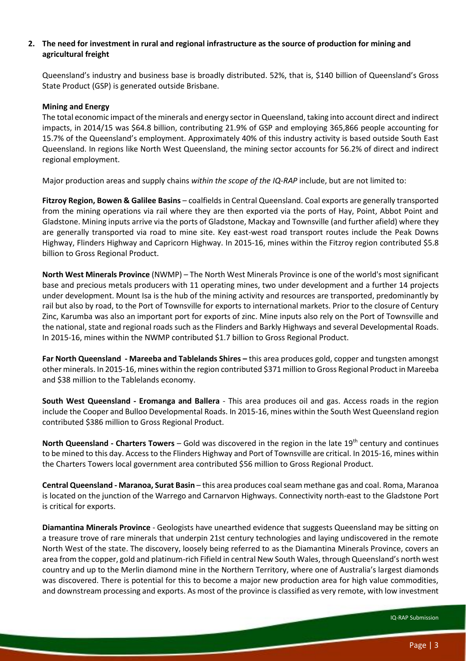## **2. The need for investment in rural and regional infrastructure as the source of production for mining and agricultural freight**

Queensland's industry and business base is broadly distributed. 52%, that is, \$140 billion of Queensland's Gross State Product (GSP) is generated outside Brisbane.

#### **Mining and Energy**

The total economic impact of the minerals and energy sector in Queensland, taking into account direct and indirect impacts, in 2014/15 was \$64.8 billion, contributing 21.9% of GSP and employing 365,866 people accounting for 15.7% of the Queensland's employment. Approximately 40% of this industry activity is based outside South East Queensland. In regions like North West Queensland, the mining sector accounts for 56.2% of direct and indirect regional employment.

Major production areas and supply chains *within the scope of the IQ-RAP* include, but are not limited to:

**Fitzroy Region, Bowen & Galilee Basins** – coalfields in Central Queensland. Coal exports are generally transported from the mining operations via rail where they are then exported via the ports of Hay, Point, Abbot Point and Gladstone. Mining inputs arrive via the ports of Gladstone, Mackay and Townsville (and further afield) where they are generally transported via road to mine site. Key east-west road transport routes include the Peak Downs Highway, Flinders Highway and Capricorn Highway. In 2015-16, mines within the Fitzroy region contributed \$5.8 billion to Gross Regional Product.

**North West Minerals Province** (NWMP) – The North West Minerals Province is one of the world's most significant base and precious metals producers with 11 operating mines, two under development and a further 14 projects under development. Mount Isa is the hub of the mining activity and resources are transported, predominantly by rail but also by road, to the Port of Townsville for exports to international markets. Prior to the closure of Century Zinc, Karumba was also an important port for exports of zinc. Mine inputs also rely on the Port of Townsville and the national, state and regional roads such as the Flinders and Barkly Highways and several Developmental Roads. In 2015-16, mines within the NWMP contributed \$1.7 billion to Gross Regional Product.

**Far North Queensland - Mareeba and Tablelands Shires –** this area produces gold, copper and tungsten amongst other minerals. In 2015-16, mines within the region contributed \$371 million to Gross Regional Product in Mareeba and \$38 million to the Tablelands economy.

**South West Queensland - Eromanga and Ballera** - This area produces oil and gas. Access roads in the region include the Cooper and Bulloo Developmental Roads. In 2015-16, mines within the South West Queensland region contributed \$386 million to Gross Regional Product.

**North Queensland - Charters Towers** – Gold was discovered in the region in the late 19<sup>th</sup> century and continues to be mined to this day. Access to the Flinders Highway and Port of Townsville are critical. In 2015-16, mines within the Charters Towers local government area contributed \$56 million to Gross Regional Product.

**Central Queensland - Maranoa, Surat Basin** – this area produces coal seam methane gas and coal. Roma, Maranoa is located on the junction of the Warrego and Carnarvon Highways. Connectivity north-east to the Gladstone Port is critical for exports.

**Diamantina Minerals Province** - Geologists have unearthed evidence that suggests Queensland may be sitting on a treasure trove of rare minerals that underpin 21st century technologies and laying undiscovered in the remote North West of the state. The discovery, loosely being referred to as the Diamantina Minerals Province, covers an area from the copper, gold and platinum-rich Fifield in central New South Wales, through Queensland's north west country and up to the Merlin diamond mine in the Northern Territory, where one of Australia's largest diamonds was discovered. There is potential for this to become a major new production area for high value commodities, and downstream processing and exports. As most of the province is classified as very remote, with low investment

IQ-RAP Submission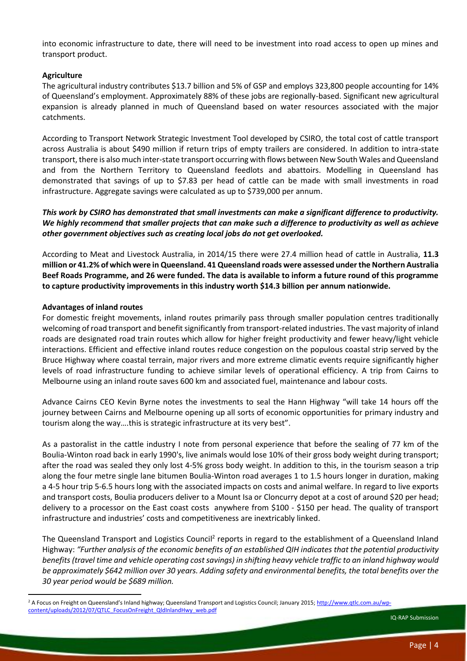into economic infrastructure to date, there will need to be investment into road access to open up mines and transport product.

## **Agriculture**

The agricultural industry contributes \$13.7 billion and 5% of GSP and employs 323,800 people accounting for 14% of Queensland's employment. Approximately 88% of these jobs are regionally-based. Significant new agricultural expansion is already planned in much of Queensland based on water resources associated with the major catchments.

According to Transport Network Strategic Investment Tool developed by CSIRO, the total cost of cattle transport across Australia is about \$490 million if return trips of empty trailers are considered. In addition to intra-state transport, there is also much inter-state transport occurring with flows between New South Wales and Queensland and from the Northern Territory to Queensland feedlots and abattoirs. Modelling in Queensland has demonstrated that savings of up to \$7.83 per head of cattle can be made with small investments in road infrastructure. Aggregate savings were calculated as up to \$739,000 per annum.

# *This work by CSIRO has demonstrated that small investments can make a significant difference to productivity. We highly recommend that smaller projects that can make such a difference to productivity as well as achieve other government objectives such as creating local jobs do not get overlooked.*

According to Meat and Livestock Australia, in 2014/15 there were 27.4 million head of cattle in Australia, **11.3 million or 41.2% of which were in Queensland. 41 Queensland roads were assessed under the Northern Australia Beef Roads Programme, and 26 were funded. The data is available to inform a future round of this programme to capture productivity improvements in this industry worth \$14.3 billion per annum nationwide.**

### **Advantages of inland routes**

**.** 

For domestic freight movements, inland routes primarily pass through smaller population centres traditionally welcoming of road transport and benefit significantly from transport-related industries. The vast majority of inland roads are designated road train routes which allow for higher freight productivity and fewer heavy/light vehicle interactions. Efficient and effective inland routes reduce congestion on the populous coastal strip served by the Bruce Highway where coastal terrain, major rivers and more extreme climatic events require significantly higher levels of road infrastructure funding to achieve similar levels of operational efficiency. A trip from Cairns to Melbourne using an inland route saves 600 km and associated fuel, maintenance and labour costs.

Advance Cairns CEO Kevin Byrne notes the investments to seal the Hann Highway "will take 14 hours off the journey between Cairns and Melbourne opening up all sorts of economic opportunities for primary industry and tourism along the way….this is strategic infrastructure at its very best".

As a pastoralist in the cattle industry I note from personal experience that before the sealing of 77 km of the Boulia-Winton road back in early 1990's, live animals would lose 10% of their gross body weight during transport; after the road was sealed they only lost 4-5% gross body weight. In addition to this, in the tourism season a trip along the four metre single lane bitumen Boulia-Winton road averages 1 to 1.5 hours longer in duration, making a 4-5 hour trip 5-6.5 hours long with the associated impacts on costs and animal welfare. In regard to live exports and transport costs, Boulia producers deliver to a Mount Isa or Cloncurry depot at a cost of around \$20 per head; delivery to a processor on the East coast costs anywhere from \$100 - \$150 per head. The quality of transport infrastructure and industries' costs and competitiveness are inextricably linked.

The Queensland Transport and Logistics Council<sup>2</sup> reports in regard to the establishment of a Queensland Inland Highway: *"Further analysis of the economic benefits of an established QIH indicates that the potential productivity benefits (travel time and vehicle operating cost savings) in shifting heavy vehicle traffic to an inland highway would be approximately \$642 million over 30 years. Adding safety and environmental benefits, the total benefits over the 30 year period would be \$689 million.*

IQ-RAP Submission

<sup>&</sup>lt;sup>2</sup> A Focus on Freight on Queensland's Inland highway; Queensland Transport and Logistics Council; January 2015; [http://www.qtlc.com.au/wp](http://www.qtlc.com.au/wp-content/uploads/2012/07/QTLC_FocusOnFreight_QldInlandHwy_web.pdf)[content/uploads/2012/07/QTLC\\_FocusOnFreight\\_QldInlandHwy\\_web.pdf](http://www.qtlc.com.au/wp-content/uploads/2012/07/QTLC_FocusOnFreight_QldInlandHwy_web.pdf)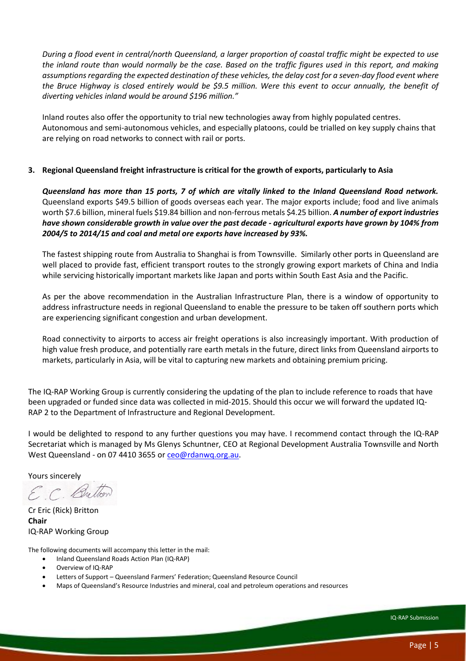*During a flood event in central/north Queensland, a larger proportion of coastal traffic might be expected to use the inland route than would normally be the case. Based on the traffic figures used in this report, and making assumptions regarding the expected destination of these vehicles, the delay cost for a seven-day flood event where the Bruce Highway is closed entirely would be \$9.5 million. Were this event to occur annually, the benefit of diverting vehicles inland would be around \$196 million."*

Inland routes also offer the opportunity to trial new technologies away from highly populated centres. Autonomous and semi-autonomous vehicles, and especially platoons, could be trialled on key supply chains that are relying on road networks to connect with rail or ports.

## **3. Regional Queensland freight infrastructure is critical for the growth of exports, particularly to Asia**

*Queensland has more than 15 ports, 7 of which are vitally linked to the Inland Queensland Road network.* Queensland exports \$49.5 billion of goods overseas each year. The major exports include; food and live animals worth \$7.6 billion, mineral fuels \$19.84 billion and non-ferrous metals \$4.25 billion. *A number of export industries have shown considerable growth in value over the past decade - agricultural exports have grown by 104% from 2004/5 to 2014/15 and coal and metal ore exports have increased by 93%.*

The fastest shipping route from Australia to Shanghai is from Townsville. Similarly other ports in Queensland are well placed to provide fast, efficient transport routes to the strongly growing export markets of China and India while servicing historically important markets like Japan and ports within South East Asia and the Pacific.

As per the above recommendation in the Australian Infrastructure Plan, there is a window of opportunity to address infrastructure needs in regional Queensland to enable the pressure to be taken off southern ports which are experiencing significant congestion and urban development.

Road connectivity to airports to access air freight operations is also increasingly important. With production of high value fresh produce, and potentially rare earth metals in the future, direct links from Queensland airports to markets, particularly in Asia, will be vital to capturing new markets and obtaining premium pricing.

The IQ-RAP Working Group is currently considering the updating of the plan to include reference to roads that have been upgraded or funded since data was collected in mid-2015. Should this occur we will forward the updated IQ-RAP 2 to the Department of Infrastructure and Regional Development.

I would be delighted to respond to any further questions you may have. I recommend contact through the IQ-RAP Secretariat which is managed by Ms Glenys Schuntner, CEO at Regional Development Australia Townsville and North West Queensland - on 07 4410 3655 or [ceo@rdanwq.org.au.](mailto:ceo@rdanwq.org.au)

Yours sincerely

E.C. Bretto

Cr Eric (Rick) Britton **Chair** IQ-RAP Working Group

The following documents will accompany this letter in the mail:

- Inland Queensland Roads Action Plan (IQ-RAP)
- Overview of IQ-RAP
- Letters of Support Queensland Farmers' Federation; Queensland Resource Council
- Maps of Queensland's Resource Industries and mineral, coal and petroleum operations and resources